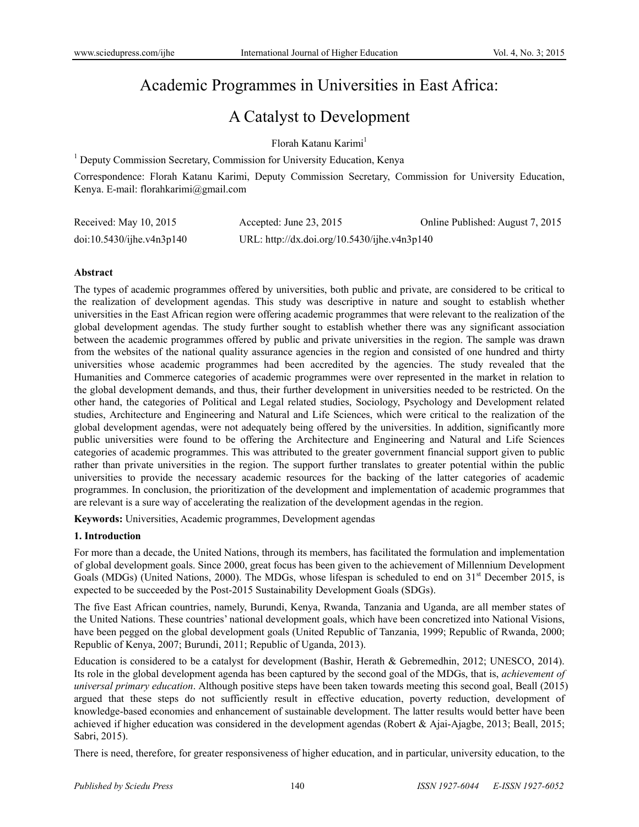# Academic Programmes in Universities in East Africa:

## A Catalyst to Development

Florah Katanu Karimi<sup>1</sup>

<sup>1</sup> Deputy Commission Secretary, Commission for University Education, Kenya

Correspondence: Florah Katanu Karimi, Deputy Commission Secretary, Commission for University Education, Kenya. E-mail: florahkarimi@gmail.com

| Received: May 10, 2015    | Accepted: June $23, 2015$                    | Online Published: August 7, 2015 |
|---------------------------|----------------------------------------------|----------------------------------|
| doi:10.5430/ijhe.v4n3p140 | URL: http://dx.doi.org/10.5430/ijhe.v4n3p140 |                                  |

#### **Abstract**

The types of academic programmes offered by universities, both public and private, are considered to be critical to the realization of development agendas. This study was descriptive in nature and sought to establish whether universities in the East African region were offering academic programmes that were relevant to the realization of the global development agendas. The study further sought to establish whether there was any significant association between the academic programmes offered by public and private universities in the region. The sample was drawn from the websites of the national quality assurance agencies in the region and consisted of one hundred and thirty universities whose academic programmes had been accredited by the agencies. The study revealed that the Humanities and Commerce categories of academic programmes were over represented in the market in relation to the global development demands, and thus, their further development in universities needed to be restricted. On the other hand, the categories of Political and Legal related studies, Sociology, Psychology and Development related studies, Architecture and Engineering and Natural and Life Sciences, which were critical to the realization of the global development agendas, were not adequately being offered by the universities. In addition, significantly more public universities were found to be offering the Architecture and Engineering and Natural and Life Sciences categories of academic programmes. This was attributed to the greater government financial support given to public rather than private universities in the region. The support further translates to greater potential within the public universities to provide the necessary academic resources for the backing of the latter categories of academic programmes. In conclusion, the prioritization of the development and implementation of academic programmes that are relevant is a sure way of accelerating the realization of the development agendas in the region.

**Keywords:** Universities, Academic programmes, Development agendas

## **1. Introduction**

For more than a decade, the United Nations, through its members, has facilitated the formulation and implementation of global development goals. Since 2000, great focus has been given to the achievement of Millennium Development Goals (MDGs) (United Nations, 2000). The MDGs, whose lifespan is scheduled to end on 31<sup>st</sup> December 2015, is expected to be succeeded by the Post-2015 Sustainability Development Goals (SDGs).

The five East African countries, namely, Burundi, Kenya, Rwanda, Tanzania and Uganda, are all member states of the United Nations. These countries' national development goals, which have been concretized into National Visions, have been pegged on the global development goals (United Republic of Tanzania, 1999; Republic of Rwanda, 2000; Republic of Kenya, 2007; Burundi, 2011; Republic of Uganda, 2013).

Education is considered to be a catalyst for development (Bashir, Herath & Gebremedhin, 2012; UNESCO, 2014). Its role in the global development agenda has been captured by the second goal of the MDGs, that is, *achievement of universal primary education*. Although positive steps have been taken towards meeting this second goal, Beall (2015) argued that these steps do not sufficiently result in effective education, poverty reduction, development of knowledge-based economies and enhancement of sustainable development. The latter results would better have been achieved if higher education was considered in the development agendas (Robert & Ajai-Ajagbe, 2013; Beall, 2015; Sabri, 2015).

There is need, therefore, for greater responsiveness of higher education, and in particular, university education, to the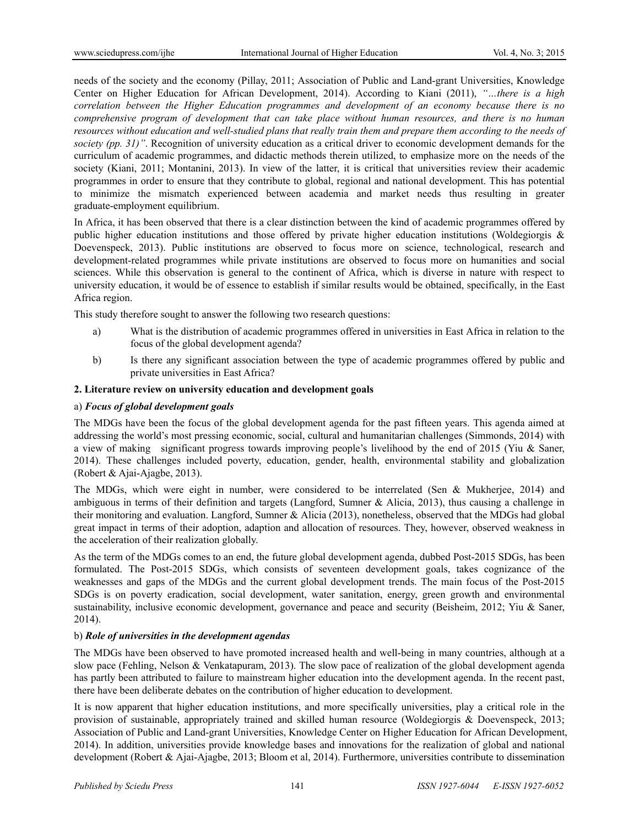needs of the society and the economy (Pillay, 2011; Association of Public and Land-grant Universities, Knowledge Center on Higher Education for African Development, 2014). According to Kiani (2011), *"…there is a high correlation between the Higher Education programmes and development of an economy because there is no comprehensive program of development that can take place without human resources, and there is no human resources without education and well-studied plans that really train them and prepare them according to the needs of society (pp. 31)"*. Recognition of university education as a critical driver to economic development demands for the curriculum of academic programmes, and didactic methods therein utilized, to emphasize more on the needs of the society (Kiani, 2011; Montanini, 2013). In view of the latter, it is critical that universities review their academic programmes in order to ensure that they contribute to global, regional and national development. This has potential to minimize the mismatch experienced between academia and market needs thus resulting in greater graduate-employment equilibrium.

In Africa, it has been observed that there is a clear distinction between the kind of academic programmes offered by public higher education institutions and those offered by private higher education institutions (Woldegiorgis & Doevenspeck, 2013). Public institutions are observed to focus more on science, technological, research and development-related programmes while private institutions are observed to focus more on humanities and social sciences. While this observation is general to the continent of Africa, which is diverse in nature with respect to university education, it would be of essence to establish if similar results would be obtained, specifically, in the East Africa region.

This study therefore sought to answer the following two research questions:

- a) What is the distribution of academic programmes offered in universities in East Africa in relation to the focus of the global development agenda?
- b) Is there any significant association between the type of academic programmes offered by public and private universities in East Africa?

## **2. Literature review on university education and development goals**

#### a) *Focus of global development goals*

The MDGs have been the focus of the global development agenda for the past fifteen years. This agenda aimed at addressing the world's most pressing economic, social, cultural and humanitarian challenges (Simmonds, 2014) with a view of making significant progress towards improving people's livelihood by the end of 2015 (Yiu & Saner, 2014). These challenges included poverty, education, gender, health, environmental stability and globalization (Robert & Ajai-Ajagbe, 2013).

The MDGs, which were eight in number, were considered to be interrelated (Sen & Mukherjee, 2014) and ambiguous in terms of their definition and targets (Langford, Sumner & Alicia, 2013), thus causing a challenge in their monitoring and evaluation. Langford, Sumner & Alicia (2013), nonetheless, observed that the MDGs had global great impact in terms of their adoption, adaption and allocation of resources. They, however, observed weakness in the acceleration of their realization globally.

As the term of the MDGs comes to an end, the future global development agenda, dubbed Post-2015 SDGs, has been formulated. The Post-2015 SDGs, which consists of seventeen development goals, takes cognizance of the weaknesses and gaps of the MDGs and the current global development trends. The main focus of the Post-2015 SDGs is on poverty eradication, social development, water sanitation, energy, green growth and environmental sustainability, inclusive economic development, governance and peace and security (Beisheim, 2012; Yiu & Saner, 2014).

## b) *Role of universities in the development agendas*

The MDGs have been observed to have promoted increased health and well-being in many countries, although at a slow pace (Fehling, Nelson & Venkatapuram, 2013). The slow pace of realization of the global development agenda has partly been attributed to failure to mainstream higher education into the development agenda. In the recent past, there have been deliberate debates on the contribution of higher education to development.

It is now apparent that higher education institutions, and more specifically universities, play a critical role in the provision of sustainable, appropriately trained and skilled human resource (Woldegiorgis & Doevenspeck, 2013; Association of Public and Land-grant Universities, Knowledge Center on Higher Education for African Development, 2014). In addition, universities provide knowledge bases and innovations for the realization of global and national development (Robert & Ajai-Ajagbe, 2013; Bloom et al, 2014). Furthermore, universities contribute to dissemination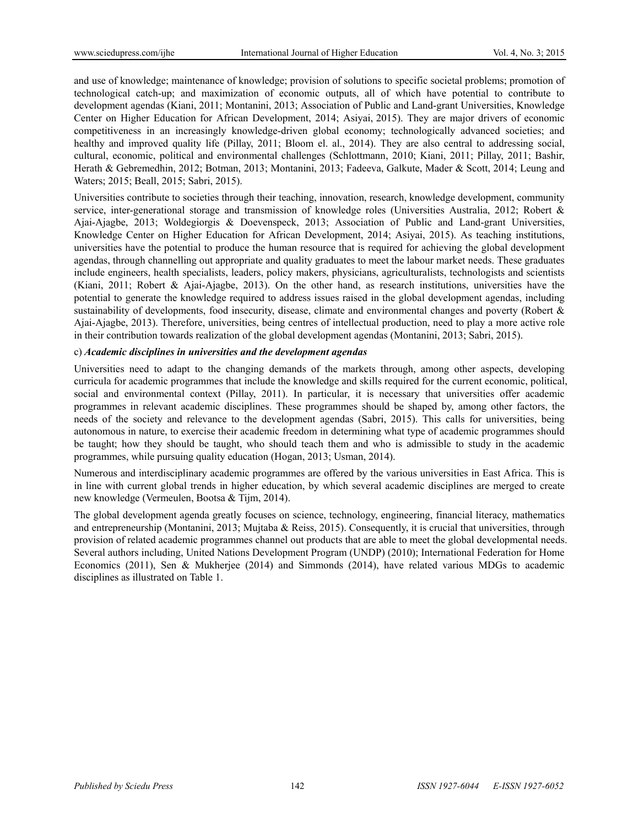and use of knowledge; maintenance of knowledge; provision of solutions to specific societal problems; promotion of technological catch-up; and maximization of economic outputs, all of which have potential to contribute to development agendas (Kiani, 2011; Montanini, 2013; Association of Public and Land-grant Universities, Knowledge Center on Higher Education for African Development, 2014; Asiyai, 2015). They are major drivers of economic competitiveness in an increasingly knowledge-driven global economy; technologically advanced societies; and healthy and improved quality life (Pillay, 2011; Bloom el. al., 2014). They are also central to addressing social, cultural, economic, political and environmental challenges (Schlottmann, 2010; Kiani, 2011; Pillay, 2011; Bashir, Herath & Gebremedhin, 2012; Botman, 2013; Montanini, 2013; Fadeeva, Galkute, Mader & Scott, 2014; Leung and Waters; 2015; Beall, 2015; Sabri, 2015).

Universities contribute to societies through their teaching, innovation, research, knowledge development, community service, inter-generational storage and transmission of knowledge roles (Universities Australia, 2012; Robert & Ajai-Ajagbe, 2013; Woldegiorgis & Doevenspeck, 2013; Association of Public and Land-grant Universities, Knowledge Center on Higher Education for African Development, 2014; Asiyai, 2015). As teaching institutions, universities have the potential to produce the human resource that is required for achieving the global development agendas, through channelling out appropriate and quality graduates to meet the labour market needs. These graduates include engineers, health specialists, leaders, policy makers, physicians, agriculturalists, technologists and scientists (Kiani, 2011; Robert & Ajai-Ajagbe, 2013). On the other hand, as research institutions, universities have the potential to generate the knowledge required to address issues raised in the global development agendas, including sustainability of developments, food insecurity, disease, climate and environmental changes and poverty (Robert & Ajai-Ajagbe, 2013). Therefore, universities, being centres of intellectual production, need to play a more active role in their contribution towards realization of the global development agendas (Montanini, 2013; Sabri, 2015).

#### c) *Academic disciplines in universities and the development agendas*

Universities need to adapt to the changing demands of the markets through, among other aspects, developing curricula for academic programmes that include the knowledge and skills required for the current economic, political, social and environmental context (Pillay, 2011). In particular, it is necessary that universities offer academic programmes in relevant academic disciplines. These programmes should be shaped by, among other factors, the needs of the society and relevance to the development agendas (Sabri, 2015). This calls for universities, being autonomous in nature, to exercise their academic freedom in determining what type of academic programmes should be taught; how they should be taught, who should teach them and who is admissible to study in the academic programmes, while pursuing quality education (Hogan, 2013; Usman, 2014).

Numerous and interdisciplinary academic programmes are offered by the various universities in East Africa. This is in line with current global trends in higher education, by which several academic disciplines are merged to create new knowledge (Vermeulen, Bootsa & Tijm, 2014).

The global development agenda greatly focuses on science, technology, engineering, financial literacy, mathematics and entrepreneurship (Montanini, 2013; Mujtaba & Reiss, 2015). Consequently, it is crucial that universities, through provision of related academic programmes channel out products that are able to meet the global developmental needs. Several authors including, United Nations Development Program (UNDP) (2010); International Federation for Home Economics (2011), Sen & Mukherjee (2014) and Simmonds (2014), have related various MDGs to academic disciplines as illustrated on Table 1.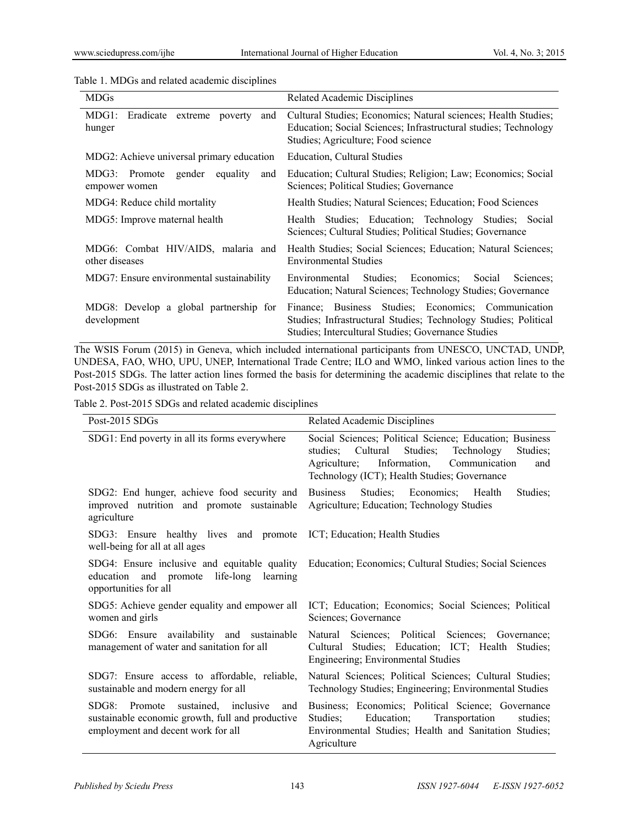#### Table 1. MDGs and related academic disciplines

| <b>MDGs</b>                                                 | Related Academic Disciplines                                                                                                                                                 |  |
|-------------------------------------------------------------|------------------------------------------------------------------------------------------------------------------------------------------------------------------------------|--|
| MDG1:<br>Eradicate<br>extreme<br>poverty<br>and<br>hunger   | Cultural Studies; Economics; Natural sciences; Health Studies;<br>Education; Social Sciences; Infrastructural studies; Technology<br>Studies; Agriculture; Food science      |  |
| MDG2: Achieve universal primary education                   | Education, Cultural Studies                                                                                                                                                  |  |
| MDG3: Promote<br>gender<br>equality<br>and<br>empower women | Education; Cultural Studies; Religion; Law; Economics; Social<br>Sciences; Political Studies; Governance                                                                     |  |
| MDG4: Reduce child mortality                                | Health Studies; Natural Sciences; Education; Food Sciences                                                                                                                   |  |
| MDG5: Improve maternal health                               | Health Studies; Education; Technology Studies; Social<br>Sciences; Cultural Studies; Political Studies; Governance                                                           |  |
| MDG6: Combat HIV/AIDS, malaria and<br>other diseases        | Health Studies; Social Sciences; Education; Natural Sciences;<br><b>Environmental Studies</b>                                                                                |  |
| MDG7: Ensure environmental sustainability                   | Studies; Economics; Social<br>Environmental<br>Sciences:<br>Education; Natural Sciences; Technology Studies; Governance                                                      |  |
| MDG8: Develop a global partnership for<br>development       | Finance; Business Studies; Economics; Communication<br>Studies; Infrastructural Studies; Technology Studies; Political<br>Studies; Intercultural Studies; Governance Studies |  |

The WSIS Forum (2015) in Geneva, which included international participants from UNESCO, UNCTAD, UNDP, UNDESA, FAO, WHO, UPU, UNEP, International Trade Centre; ILO and WMO, linked various action lines to the Post-2015 SDGs. The latter action lines formed the basis for determining the academic disciplines that relate to the Post-2015 SDGs as illustrated on Table 2.

Table 2. Post-2015 SDGs and related academic disciplines

| Post-2015 SDGs                                                                                                                      | Related Academic Disciplines                                                                                                                                                                                                  |
|-------------------------------------------------------------------------------------------------------------------------------------|-------------------------------------------------------------------------------------------------------------------------------------------------------------------------------------------------------------------------------|
| SDG1: End poverty in all its forms everywhere                                                                                       | Social Sciences; Political Science; Education; Business<br>Cultural<br>Studies;<br>studies:<br>Technology<br>Studies:<br>Agriculture;<br>Information,<br>Communication<br>and<br>Technology (ICT); Health Studies; Governance |
| SDG2: End hunger, achieve food security and<br>improved nutrition and promote sustainable<br>agriculture                            | Studies; Economics; Health<br><b>Business</b><br>Studies:<br>Agriculture; Education; Technology Studies                                                                                                                       |
| SDG3: Ensure healthy lives and promote ICT; Education; Health Studies<br>well-being for all at all ages                             |                                                                                                                                                                                                                               |
| education and promote life-long<br>learning<br>opportunities for all                                                                | SDG4: Ensure inclusive and equitable quality Education; Economics; Cultural Studies; Social Sciences                                                                                                                          |
| SDG5: Achieve gender equality and empower all<br>women and girls                                                                    | ICT; Education; Economics; Social Sciences; Political<br>Sciences; Governance                                                                                                                                                 |
| SDG6: Ensure availability and sustainable<br>management of water and sanitation for all                                             | Natural Sciences; Political Sciences; Governance;<br>Cultural Studies; Education; ICT; Health Studies;<br>Engineering; Environmental Studies                                                                                  |
| SDG7: Ensure access to affordable, reliable,<br>sustainable and modern energy for all                                               | Natural Sciences; Political Sciences; Cultural Studies;<br>Technology Studies; Engineering; Environmental Studies                                                                                                             |
| SDG8: Promote sustained, inclusive<br>and<br>sustainable economic growth, full and productive<br>employment and decent work for all | Business; Economics; Political Science; Governance<br>Studies; Education;<br>Transportation<br>studies:<br>Environmental Studies; Health and Sanitation Studies;<br>Agriculture                                               |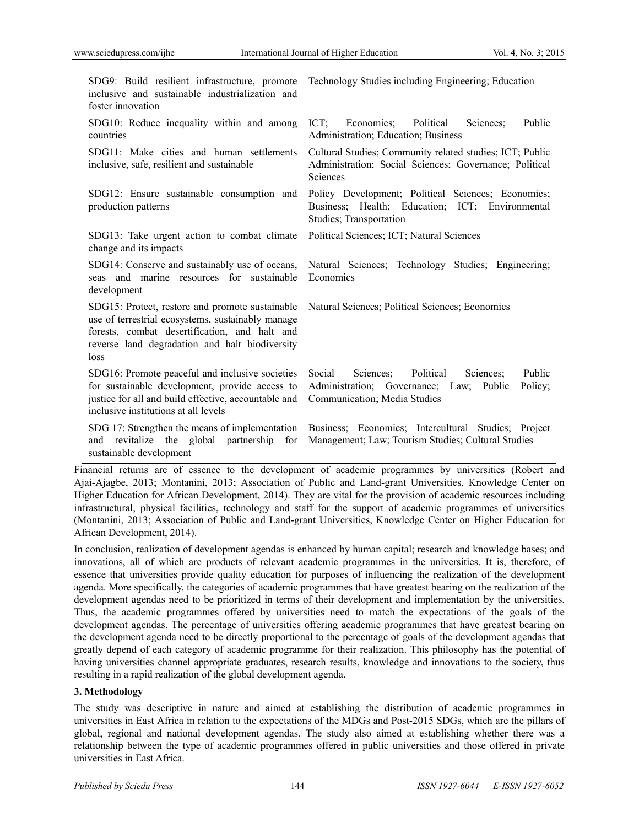| SDG9: Build resilient infrastructure, promote<br>inclusive and sustainable industrialization and<br>foster innovation                                                                                           | Technology Studies including Engineering; Education                                                                                              |  |  |  |
|-----------------------------------------------------------------------------------------------------------------------------------------------------------------------------------------------------------------|--------------------------------------------------------------------------------------------------------------------------------------------------|--|--|--|
| SDG10: Reduce inequality within and among<br>countries                                                                                                                                                          | Public<br>ICT:<br>Economics:<br>Political<br>Sciences:<br>Administration; Education; Business                                                    |  |  |  |
| SDG11: Make cities and human settlements<br>inclusive, safe, resilient and sustainable                                                                                                                          | Cultural Studies; Community related studies; ICT; Public<br>Administration; Social Sciences; Governance; Political<br>Sciences                   |  |  |  |
| SDG12: Ensure sustainable consumption and<br>production patterns                                                                                                                                                | Policy Development; Political Sciences; Economics;<br>Business; Health; Education; ICT; Environmental<br>Studies; Transportation                 |  |  |  |
| SDG13: Take urgent action to combat climate<br>change and its impacts                                                                                                                                           | Political Sciences; ICT; Natural Sciences                                                                                                        |  |  |  |
| SDG14: Conserve and sustainably use of oceans,<br>and marine resources for sustainable<br>seas<br>development                                                                                                   | Natural Sciences; Technology Studies; Engineering;<br>Economics                                                                                  |  |  |  |
| SDG15: Protect, restore and promote sustainable<br>use of terrestrial ecosystems, sustainably manage<br>forests, combat desertification, and halt and<br>reverse land degradation and halt biodiversity<br>loss | Natural Sciences; Political Sciences; Economics                                                                                                  |  |  |  |
| SDG16: Promote peaceful and inclusive societies<br>for sustainable development, provide access to<br>justice for all and build effective, accountable and<br>inclusive institutions at all levels               | Public<br>Social<br>Sciences;<br>Political<br>Sciences:<br>Administration; Governance; Law;<br>Public<br>Policy;<br>Communication; Media Studies |  |  |  |
| SDG 17: Strengthen the means of implementation<br>revitalize the global partnership<br>for<br>and<br>sustainable development                                                                                    | Business; Economics; Intercultural Studies; Project<br>Management; Law; Tourism Studies; Cultural Studies                                        |  |  |  |

Financial returns are of essence to the development of academic programmes by universities (Robert and Ajai-Ajagbe, 2013; Montanini, 2013; Association of Public and Land-grant Universities, Knowledge Center on Higher Education for African Development, 2014). They are vital for the provision of academic resources including infrastructural, physical facilities, technology and staff for the support of academic programmes of universities (Montanini, 2013; Association of Public and Land-grant Universities, Knowledge Center on Higher Education for African Development, 2014).

In conclusion, realization of development agendas is enhanced by human capital; research and knowledge bases; and innovations, all of which are products of relevant academic programmes in the universities. It is, therefore, of essence that universities provide quality education for purposes of influencing the realization of the development agenda. More specifically, the categories of academic programmes that have greatest bearing on the realization of the development agendas need to be prioritized in terms of their development and implementation by the universities. Thus, the academic programmes offered by universities need to match the expectations of the goals of the development agendas. The percentage of universities offering academic programmes that have greatest bearing on the development agenda need to be directly proportional to the percentage of goals of the development agendas that greatly depend of each category of academic programme for their realization. This philosophy has the potential of having universities channel appropriate graduates, research results, knowledge and innovations to the society, thus resulting in a rapid realization of the global development agenda.

#### **3. Methodology**

The study was descriptive in nature and aimed at establishing the distribution of academic programmes in universities in East Africa in relation to the expectations of the MDGs and Post-2015 SDGs, which are the pillars of global, regional and national development agendas. The study also aimed at establishing whether there was a relationship between the type of academic programmes offered in public universities and those offered in private universities in East Africa.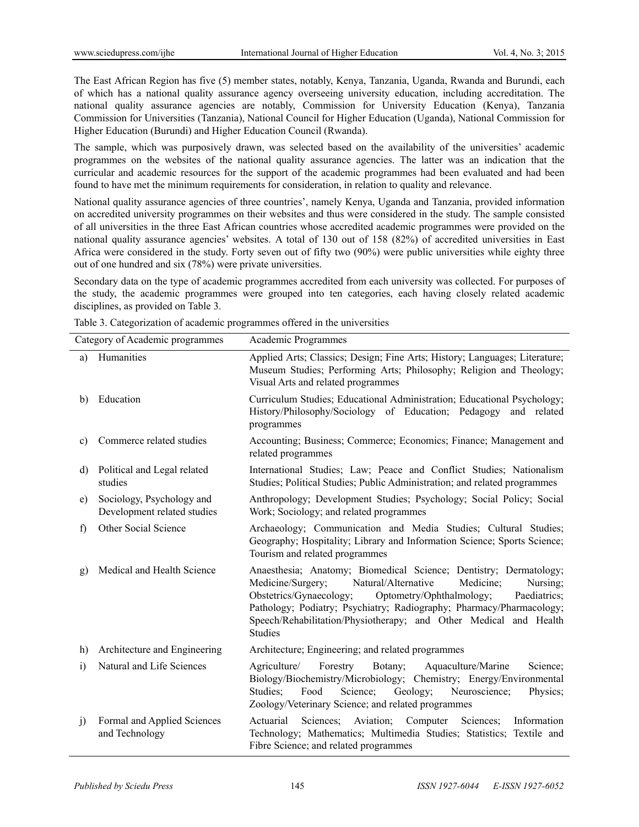The East African Region has five (5) member states, notably, Kenya, Tanzania, Uganda, Rwanda and Burundi, each of which has a national quality assurance agency overseeing university education, including accreditation. The national quality assurance agencies are notably, Commission for University Education (Kenya), Tanzania Commission for Universities (Tanzania), National Council for Higher Education (Uganda), National Commission for Higher Education (Burundi) and Higher Education Council (Rwanda).

The sample, which was purposively drawn, was selected based on the availability of the universities' academic programmes on the websites of the national quality assurance agencies. The latter was an indication that the curricular and academic resources for the support of the academic programmes had been evaluated and had been found to have met the minimum requirements for consideration, in relation to quality and relevance.

National quality assurance agencies of three countries', namely Kenya, Uganda and Tanzania, provided information on accredited university programmes on their websites and thus were considered in the study. The sample consisted of all universities in the three East African countries whose accredited academic programmes were provided on the national quality assurance agencies' websites. A total of 130 out of 158 (82%) of accredited universities in East Africa were considered in the study. Forty seven out of fifty two (90%) were public universities while eighty three out of one hundred and six (78%) were private universities.

Secondary data on the type of academic programmes accredited from each university was collected. For purposes of the study, the academic programmes were grouped into ten categories, each having closely related academic disciplines, as provided on Table 3.

|            | Category of Academic programmes                          | Academic Programmes                                                                                                                                                                                                                                                                                                                                                          |
|------------|----------------------------------------------------------|------------------------------------------------------------------------------------------------------------------------------------------------------------------------------------------------------------------------------------------------------------------------------------------------------------------------------------------------------------------------------|
| a)         | Humanities                                               | Applied Arts; Classics; Design; Fine Arts; History; Languages; Literature;<br>Museum Studies; Performing Arts; Philosophy; Religion and Theology;<br>Visual Arts and related programmes                                                                                                                                                                                      |
| b)         | Education                                                | Curriculum Studies; Educational Administration; Educational Psychology;<br>History/Philosophy/Sociology of Education; Pedagogy<br>and related<br>programmes                                                                                                                                                                                                                  |
| c)         | Commerce related studies                                 | Accounting; Business; Commerce; Economics; Finance; Management and<br>related programmes                                                                                                                                                                                                                                                                                     |
| d)         | Political and Legal related<br>studies                   | International Studies; Law; Peace and Conflict Studies; Nationalism<br>Studies; Political Studies; Public Administration; and related programmes                                                                                                                                                                                                                             |
| e)         | Sociology, Psychology and<br>Development related studies | Anthropology; Development Studies; Psychology; Social Policy; Social<br>Work; Sociology; and related programmes                                                                                                                                                                                                                                                              |
| f)         | Other Social Science                                     | Archaeology; Communication and Media Studies; Cultural Studies;<br>Geography; Hospitality; Library and Information Science; Sports Science;<br>Tourism and related programmes                                                                                                                                                                                                |
| g)         | Medical and Health Science                               | Anaesthesia; Anatomy; Biomedical Science; Dentistry; Dermatology;<br>Natural/Alternative<br>Medicine/Surgery;<br>Medicine;<br>Nursing:<br>Obstetrics/Gynaecology;<br>Optometry/Ophthalmology;<br>Paediatrics;<br>Pathology; Podiatry; Psychiatry; Radiography; Pharmacy/Pharmacology;<br>Speech/Rehabilitation/Physiotherapy; and Other Medical and Health<br><b>Studies</b> |
| h)         | Architecture and Engineering                             | Architecture; Engineering; and related programmes                                                                                                                                                                                                                                                                                                                            |
| $\ddot{1}$ | Natural and Life Sciences                                | Agriculture/<br>Forestry<br>Botany;<br>Aquaculture/Marine<br>Science:<br>Biology/Biochemistry/Microbiology; Chemistry; Energy/Environmental<br>Studies;<br>Food<br>Science;<br>Geology;<br>Neuroscience;<br>Physics;<br>Zoology/Veterinary Science; and related programmes                                                                                                   |
| j)         | Formal and Applied Sciences<br>and Technology            | Actuarial<br>Sciences; Aviation; Computer<br>Sciences;<br>Information<br>Technology; Mathematics; Multimedia Studies; Statistics; Textile and<br>Fibre Science; and related programmes                                                                                                                                                                                       |

Table 3. Categorization of academic programmes offered in the universities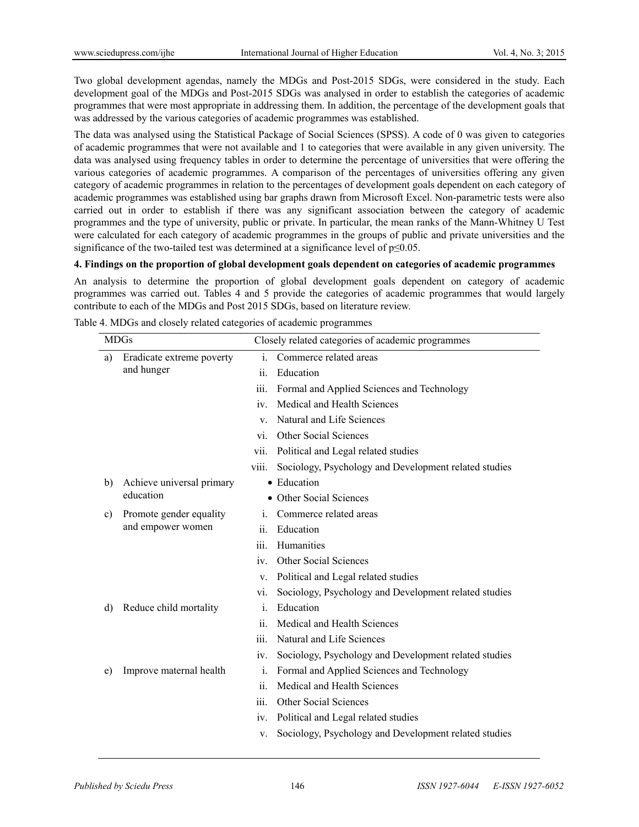Two global development agendas, namely the MDGs and Post-2015 SDGs, were considered in the study. Each development goal of the MDGs and Post-2015 SDGs was analysed in order to establish the categories of academic programmes that were most appropriate in addressing them. In addition, the percentage of the development goals that was addressed by the various categories of academic programmes was established.

The data was analysed using the Statistical Package of Social Sciences (SPSS). A code of 0 was given to categories of academic programmes that were not available and 1 to categories that were available in any given university. The data was analysed using frequency tables in order to determine the percentage of universities that were offering the various categories of academic programmes. A comparison of the percentages of universities offering any given category of academic programmes in relation to the percentages of development goals dependent on each category of academic programmes was established using bar graphs drawn from Microsoft Excel. Non-parametric tests were also carried out in order to establish if there was any significant association between the category of academic programmes and the type of university, public or private. In particular, the mean ranks of the Mann-Whitney U Test were calculated for each category of academic programmes in the groups of public and private universities and the significance of the two-tailed test was determined at a significance level of p≤0.05.

## **4. Findings on the proportion of global development goals dependent on categories of academic programmes**

An analysis to determine the proportion of global development goals dependent on category of academic programmes was carried out. Tables 4 and 5 provide the categories of academic programmes that would largely contribute to each of the MDGs and Post 2015 SDGs, based on literature review.

| <b>MDGs</b><br>Closely related categories of academic programmes |                              |                                                                |
|------------------------------------------------------------------|------------------------------|----------------------------------------------------------------|
| a)                                                               | Eradicate extreme poverty    | i.<br>Commerce related areas                                   |
|                                                                  | and hunger                   | Education<br>ii.                                               |
|                                                                  |                              | iii.<br>Formal and Applied Sciences and Technology             |
|                                                                  |                              | Medical and Health Sciences<br>$iv$ .                          |
|                                                                  |                              | Natural and Life Sciences<br>$V_{-}$                           |
|                                                                  |                              | Other Social Sciences<br>vi                                    |
|                                                                  |                              | Political and Legal related studies<br>vii.                    |
|                                                                  |                              | Sociology, Psychology and Development related studies<br>viii. |
| b)                                                               | Achieve universal primary    | • Education                                                    |
|                                                                  | education                    | Other Social Sciences                                          |
| Promote gender equality<br>c)<br>and empower women               | Commerce related areas<br>Ĺ. |                                                                |
|                                                                  |                              | ii.<br>Education                                               |
|                                                                  |                              | Humanities<br>iii.                                             |
|                                                                  |                              | Other Social Sciences<br>$\mathbf{v}$ .                        |
|                                                                  |                              | Political and Legal related studies<br>V.                      |
|                                                                  |                              | Sociology, Psychology and Development related studies<br>vi.   |
| d)                                                               | Reduce child mortality       | Education<br>i.                                                |
|                                                                  |                              | ii.<br>Medical and Health Sciences                             |
|                                                                  |                              | Natural and Life Sciences<br>iii.                              |
|                                                                  |                              | Sociology, Psychology and Development related studies<br>iv.   |
| e)                                                               | Improve maternal health      | Formal and Applied Sciences and Technology<br>i.               |
|                                                                  |                              | Medical and Health Sciences<br>ii.                             |
|                                                                  |                              | Other Social Sciences<br>111.                                  |
|                                                                  |                              | Political and Legal related studies<br>iv.                     |
|                                                                  |                              | Sociology, Psychology and Development related studies<br>V.    |
|                                                                  |                              |                                                                |

Table 4. MDGs and closely related categories of academic programmes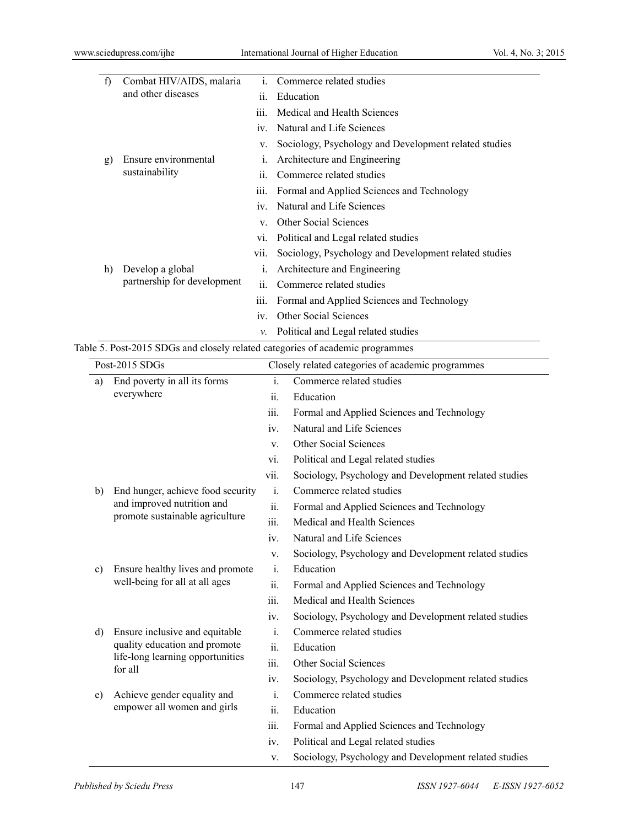| f) | Combat HIV/AIDS, malaria    |                                     | Commerce related studies                                                      |
|----|-----------------------------|-------------------------------------|-------------------------------------------------------------------------------|
|    | and other diseases          | $\overline{11}$ .                   | Education                                                                     |
|    |                             | 111.                                | Medical and Health Sciences                                                   |
|    |                             | $\overline{1}V$ .                   | Natural and Life Sciences                                                     |
|    |                             | V.                                  | Sociology, Psychology and Development related studies                         |
| g) | Ensure environmental        | $\mathbf{1}$ .                      | Architecture and Engineering                                                  |
|    | sustainability              | 11.                                 | Commerce related studies                                                      |
|    |                             | 111.                                | Formal and Applied Sciences and Technology                                    |
|    | $\mathbf{v}$ .              | Natural and Life Sciences           |                                                                               |
|    | V.                          | Other Social Sciences               |                                                                               |
|    | V1.                         | Political and Legal related studies |                                                                               |
|    |                             | VII.                                | Sociology, Psychology and Development related studies                         |
| h) | Develop a global            | $\mathbf{1}$ .                      | Architecture and Engineering                                                  |
|    | partnership for development | $\overline{11}$ .                   | Commerce related studies                                                      |
|    |                             | 111.                                | Formal and Applied Sciences and Technology                                    |
|    |                             | $\overline{1}V$ .                   | Other Social Sciences                                                         |
|    |                             | ν.                                  | Political and Legal related studies                                           |
|    |                             |                                     | Table 5. Post-2015 SDGs and closely related categories of academic programmes |
|    | Post-2015 SDGs              |                                     | Closely related categories of academic programmes                             |
|    |                             |                                     |                                                                               |

|                                        | POSL-2015 SDUS                              |                | Closely related categories of academic programmes     |
|----------------------------------------|---------------------------------------------|----------------|-------------------------------------------------------|
| a)                                     | End poverty in all its forms                | $\mathbf{i}$ . | Commerce related studies                              |
|                                        | everywhere                                  | ii.            | Education                                             |
|                                        |                                             | iii.           | Formal and Applied Sciences and Technology            |
|                                        |                                             | iv.            | Natural and Life Sciences                             |
|                                        |                                             | V.             | Other Social Sciences                                 |
|                                        |                                             | vi.            | Political and Legal related studies                   |
|                                        |                                             | vii.           | Sociology, Psychology and Development related studies |
| b)                                     | End hunger, achieve food security           | i.             | Commerce related studies                              |
|                                        | and improved nutrition and                  | ii.            | Formal and Applied Sciences and Technology            |
|                                        | promote sustainable agriculture             | iii.           | Medical and Health Sciences                           |
|                                        |                                             | iv.            | Natural and Life Sciences                             |
|                                        |                                             | V.             | Sociology, Psychology and Development related studies |
| Ensure healthy lives and promote<br>c) |                                             | $\mathbf{i}$ . | Education                                             |
|                                        | well-being for all at all ages              | ii.            | Formal and Applied Sciences and Technology            |
|                                        |                                             | iii.           | Medical and Health Sciences                           |
|                                        |                                             | iv.            | Sociology, Psychology and Development related studies |
| d)                                     | Ensure inclusive and equitable              |                | Commerce related studies                              |
|                                        | quality education and promote               | ii.            | Education                                             |
|                                        | life-long learning opportunities<br>for all | iii.           | <b>Other Social Sciences</b>                          |
|                                        |                                             | iv.            | Sociology, Psychology and Development related studies |
| e)                                     | Achieve gender equality and                 | $\mathbf{i}$ . | Commerce related studies                              |
|                                        | empower all women and girls                 | ii.            | Education                                             |
|                                        |                                             | iii.           | Formal and Applied Sciences and Technology            |
|                                        |                                             | iv.            | Political and Legal related studies                   |
|                                        |                                             | V.             | Sociology, Psychology and Development related studies |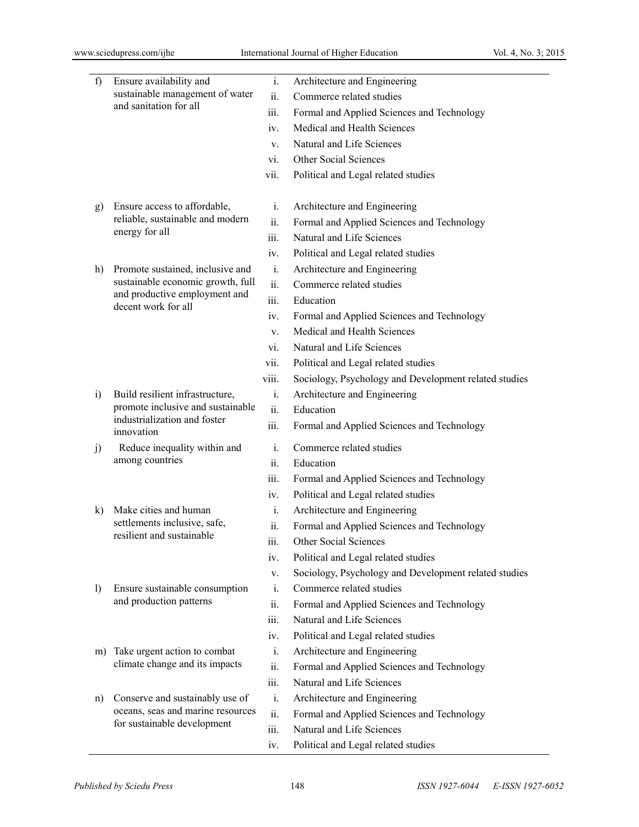| f)               | Ensure availability and<br>sustainable management of water<br>and sanitation for all<br>iii.<br>iv. |      | Architecture and Engineering                          |
|------------------|-----------------------------------------------------------------------------------------------------|------|-------------------------------------------------------|
|                  |                                                                                                     |      | Commerce related studies                              |
|                  |                                                                                                     |      | Formal and Applied Sciences and Technology            |
|                  |                                                                                                     |      | Medical and Health Sciences                           |
|                  |                                                                                                     | V.   | Natural and Life Sciences                             |
|                  |                                                                                                     | vi.  | Other Social Sciences                                 |
|                  |                                                                                                     | vii. | Political and Legal related studies                   |
|                  |                                                                                                     |      |                                                       |
| g)               | Ensure access to affordable,                                                                        | i.   | Architecture and Engineering                          |
|                  | reliable, sustainable and modern                                                                    | ii.  | Formal and Applied Sciences and Technology            |
|                  | energy for all                                                                                      | iii. | Natural and Life Sciences                             |
|                  |                                                                                                     | iv.  | Political and Legal related studies                   |
| h)               | Promote sustained, inclusive and                                                                    | i.   | Architecture and Engineering                          |
|                  | sustainable economic growth, full                                                                   | ii.  | Commerce related studies                              |
|                  | and productive employment and                                                                       | iii. | Education                                             |
|                  | decent work for all                                                                                 | iv.  | Formal and Applied Sciences and Technology            |
|                  |                                                                                                     | V.   | Medical and Health Sciences                           |
|                  |                                                                                                     | vi.  | Natural and Life Sciences                             |
|                  |                                                                                                     | vii. | Political and Legal related studies                   |
|                  |                                                                                                     |      | Sociology, Psychology and Development related studies |
| $\ddot{i}$       | Build resilient infrastructure,                                                                     | i.   | Architecture and Engineering                          |
|                  | promote inclusive and sustainable                                                                   | ii.  | Education                                             |
|                  | industrialization and foster<br>innovation                                                          | iii. | Formal and Applied Sciences and Technology            |
| j)               | Reduce inequality within and                                                                        |      | Commerce related studies                              |
|                  | among countries                                                                                     | ii.  | Education                                             |
|                  |                                                                                                     | iii. | Formal and Applied Sciences and Technology            |
|                  |                                                                                                     |      | Political and Legal related studies                   |
| $\bf{k}$         | Make cities and human                                                                               | i.   | Architecture and Engineering                          |
|                  | settlements inclusive, safe,                                                                        | ii.  | Formal and Applied Sciences and Technology            |
|                  | resilient and sustainable                                                                           | iii. | Other Social Sciences                                 |
|                  |                                                                                                     | iv.  | Political and Legal related studies                   |
|                  |                                                                                                     | V.   | Sociology, Psychology and Development related studies |
| $\left( \right)$ | Ensure sustainable consumption                                                                      | i.   | Commerce related studies                              |
|                  | and production patterns                                                                             | ii.  | Formal and Applied Sciences and Technology            |
|                  |                                                                                                     | iii. | Natural and Life Sciences                             |
|                  |                                                                                                     | iv.  | Political and Legal related studies                   |
|                  | m) Take urgent action to combat                                                                     | i.   | Architecture and Engineering                          |
|                  | climate change and its impacts                                                                      | ii.  | Formal and Applied Sciences and Technology            |
|                  |                                                                                                     | iii. | Natural and Life Sciences                             |
| n)               | Conserve and sustainably use of                                                                     | i.   | Architecture and Engineering                          |
|                  | oceans, seas and marine resources                                                                   | ii.  | Formal and Applied Sciences and Technology            |
|                  | for sustainable development                                                                         | iii. | Natural and Life Sciences                             |
|                  |                                                                                                     | iv.  | Political and Legal related studies                   |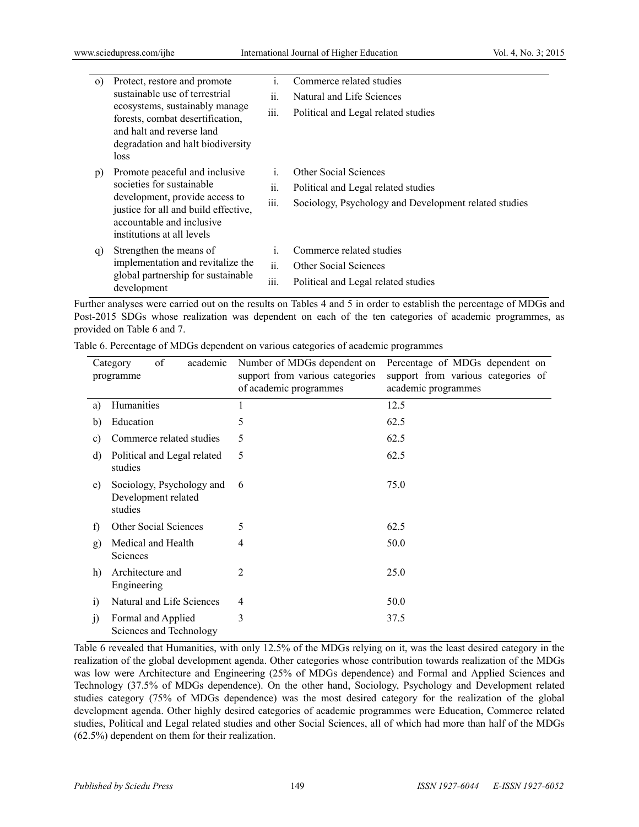| $\Omega$ | Protect, restore and promote<br>sustainable use of terrestrial<br>ecosystems, sustainably manage<br>forests, combat desertification,<br>and halt and reverse land<br>degradation and halt biodiversity<br>loss | Ť.<br>11.<br>.<br>111.                    | Commerce related studies<br>Natural and Life Sciences<br>Political and Legal related studies                          |
|----------|----------------------------------------------------------------------------------------------------------------------------------------------------------------------------------------------------------------|-------------------------------------------|-----------------------------------------------------------------------------------------------------------------------|
| p)       | Promote peaceful and inclusive<br>societies for sustainable<br>development, provide access to<br>justice for all and build effective,<br>accountable and inclusive<br>institutions at all levels               | i.<br>11.<br>iii.                         | Other Social Sciences<br>Political and Legal related studies<br>Sociology, Psychology and Development related studies |
| q)       | Strengthen the means of<br>implementation and revitalize the<br>global partnership for sustainable<br>development                                                                                              | $\mathbf{1}$ .<br>ii.<br>$\cdots$<br>111. | Commerce related studies<br><b>Other Social Sciences</b><br>Political and Legal related studies                       |

Further analyses were carried out on the results on Tables 4 and 5 in order to establish the percentage of MDGs and Post-2015 SDGs whose realization was dependent on each of the ten categories of academic programmes, as provided on Table 6 and 7.

|  |  |  |  | Table 6. Percentage of MDGs dependent on various categories of academic programmes |
|--|--|--|--|------------------------------------------------------------------------------------|
|  |  |  |  |                                                                                    |
|  |  |  |  |                                                                                    |

|                | of<br>academic<br>Category<br>programme                     | Number of MDGs dependent on<br>support from various categories<br>of academic programmes | Percentage of MDGs dependent on<br>support from various categories of<br>academic programmes |
|----------------|-------------------------------------------------------------|------------------------------------------------------------------------------------------|----------------------------------------------------------------------------------------------|
| a)             | Humanities                                                  | 1                                                                                        | 12.5                                                                                         |
| b)             | Education                                                   | 5                                                                                        | 62.5                                                                                         |
| c)             | Commerce related studies                                    | 5                                                                                        | 62.5                                                                                         |
| d)             | Political and Legal related<br>studies                      | 5                                                                                        | 62.5                                                                                         |
| e)             | Sociology, Psychology and<br>Development related<br>studies | 6                                                                                        | 75.0                                                                                         |
| f)             | Other Social Sciences                                       | 5                                                                                        | 62.5                                                                                         |
| g)             | Medical and Health<br>Sciences                              | $\overline{4}$                                                                           | 50.0                                                                                         |
| h)             | Architecture and<br>Engineering                             | 2                                                                                        | 25.0                                                                                         |
| $\overline{1}$ | Natural and Life Sciences                                   | $\overline{4}$                                                                           | 50.0                                                                                         |
| $_{1}$         | Formal and Applied<br>Sciences and Technology               | 3                                                                                        | 37.5                                                                                         |

Table 6 revealed that Humanities, with only 12.5% of the MDGs relying on it, was the least desired category in the realization of the global development agenda. Other categories whose contribution towards realization of the MDGs was low were Architecture and Engineering (25% of MDGs dependence) and Formal and Applied Sciences and Technology (37.5% of MDGs dependence). On the other hand, Sociology, Psychology and Development related studies category (75% of MDGs dependence) was the most desired category for the realization of the global development agenda. Other highly desired categories of academic programmes were Education, Commerce related studies, Political and Legal related studies and other Social Sciences, all of which had more than half of the MDGs (62.5%) dependent on them for their realization.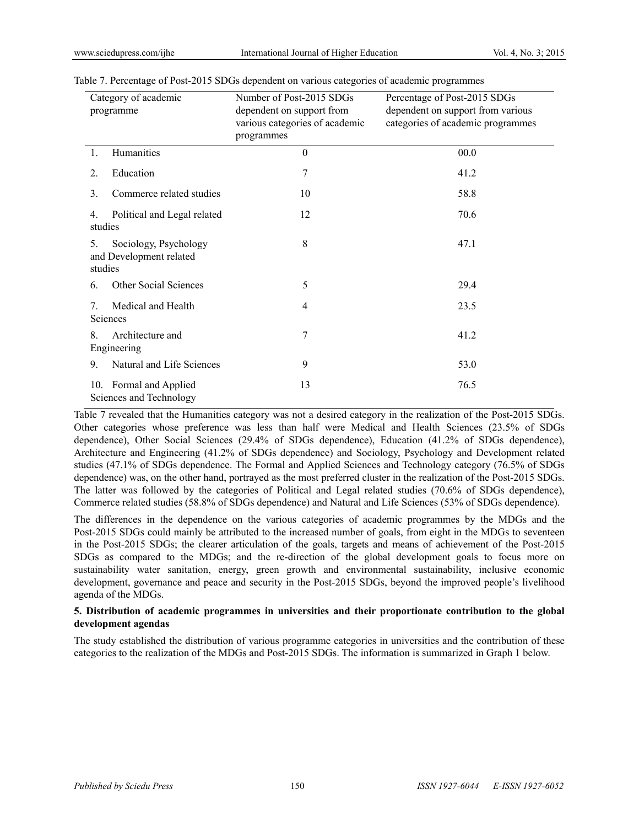| Category of academic<br>programme                                 | Number of Post-2015 SDGs<br>dependent on support from<br>various categories of academic<br>programmes | Percentage of Post-2015 SDGs<br>dependent on support from various<br>categories of academic programmes |
|-------------------------------------------------------------------|-------------------------------------------------------------------------------------------------------|--------------------------------------------------------------------------------------------------------|
| Humanities<br>1.                                                  | $\theta$                                                                                              | 00.0                                                                                                   |
| Education<br>2.                                                   | 7                                                                                                     | 41.2                                                                                                   |
| Commerce related studies<br>3.                                    | 10                                                                                                    | 58.8                                                                                                   |
| Political and Legal related<br>4.<br>studies                      | 12                                                                                                    | 70.6                                                                                                   |
| Sociology, Psychology<br>5.<br>and Development related<br>studies | 8                                                                                                     | 47.1                                                                                                   |
| Other Social Sciences<br>6.                                       | 5                                                                                                     | 29.4                                                                                                   |
| Medical and Health<br>7<br>Sciences                               | 4                                                                                                     | 23.5                                                                                                   |
| Architecture and<br>8<br>Engineering                              | 7                                                                                                     | 41.2                                                                                                   |
| Natural and Life Sciences<br>9.                                   | 9                                                                                                     | 53.0                                                                                                   |
| 10. Formal and Applied<br>Sciences and Technology                 | 13                                                                                                    | 76.5                                                                                                   |

Table 7. Percentage of Post-2015 SDGs dependent on various categories of academic programmes

Table 7 revealed that the Humanities category was not a desired category in the realization of the Post-2015 SDGs. Other categories whose preference was less than half were Medical and Health Sciences (23.5% of SDGs dependence), Other Social Sciences (29.4% of SDGs dependence), Education (41.2% of SDGs dependence), Architecture and Engineering (41.2% of SDGs dependence) and Sociology, Psychology and Development related studies (47.1% of SDGs dependence. The Formal and Applied Sciences and Technology category (76.5% of SDGs dependence) was, on the other hand, portrayed as the most preferred cluster in the realization of the Post-2015 SDGs. The latter was followed by the categories of Political and Legal related studies (70.6% of SDGs dependence), Commerce related studies (58.8% of SDGs dependence) and Natural and Life Sciences (53% of SDGs dependence).

The differences in the dependence on the various categories of academic programmes by the MDGs and the Post-2015 SDGs could mainly be attributed to the increased number of goals, from eight in the MDGs to seventeen in the Post-2015 SDGs; the clearer articulation of the goals, targets and means of achievement of the Post-2015 SDGs as compared to the MDGs; and the re-direction of the global development goals to focus more on sustainability water sanitation, energy, green growth and environmental sustainability, inclusive economic development, governance and peace and security in the Post-2015 SDGs, beyond the improved people's livelihood agenda of the MDGs.

## **5. Distribution of academic programmes in universities and their proportionate contribution to the global development agendas**

The study established the distribution of various programme categories in universities and the contribution of these categories to the realization of the MDGs and Post-2015 SDGs. The information is summarized in Graph 1 below.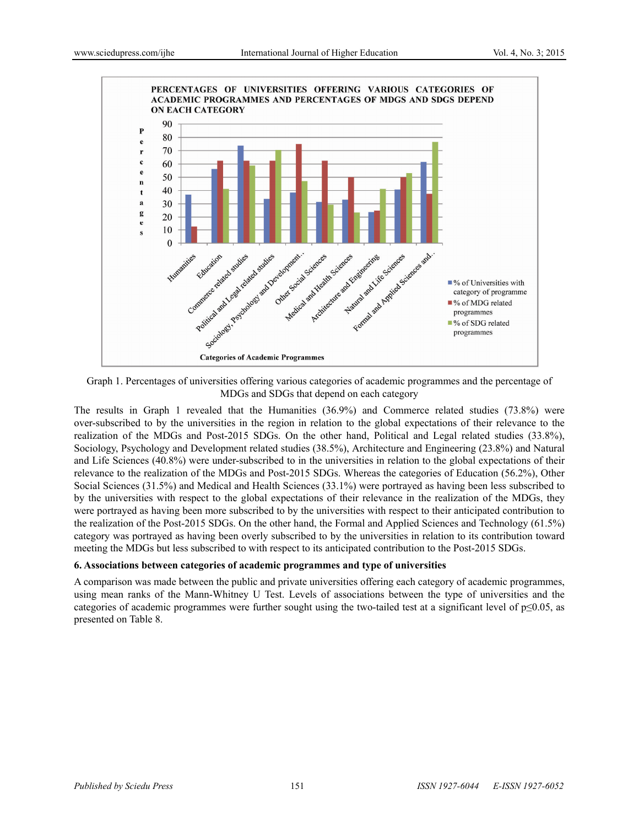

Graph 1. Percentages of universities offering various categories of academic programmes and the percentage of MDGs and SDGs that depend on each category

The results in Graph 1 revealed that the Humanities (36.9%) and Commerce related studies (73.8%) were over-subscribed to by the universities in the region in relation to the global expectations of their relevance to the realization of the MDGs and Post-2015 SDGs. On the other hand, Political and Legal related studies (33.8%), Sociology, Psychology and Development related studies (38.5%), Architecture and Engineering (23.8%) and Natural and Life Sciences (40.8%) were under-subscribed to in the universities in relation to the global expectations of their relevance to the realization of the MDGs and Post-2015 SDGs. Whereas the categories of Education (56.2%), Other Social Sciences (31.5%) and Medical and Health Sciences (33.1%) were portrayed as having been less subscribed to by the universities with respect to the global expectations of their relevance in the realization of the MDGs, they were portrayed as having been more subscribed to by the universities with respect to their anticipated contribution to the realization of the Post-2015 SDGs. On the other hand, the Formal and Applied Sciences and Technology (61.5%) category was portrayed as having been overly subscribed to by the universities in relation to its contribution toward meeting the MDGs but less subscribed to with respect to its anticipated contribution to the Post-2015 SDGs.

## **6. Associations between categories of academic programmes and type of universities**

A comparison was made between the public and private universities offering each category of academic programmes, using mean ranks of the Mann-Whitney U Test. Levels of associations between the type of universities and the categories of academic programmes were further sought using the two-tailed test at a significant level of p≤0.05, as presented on Table 8.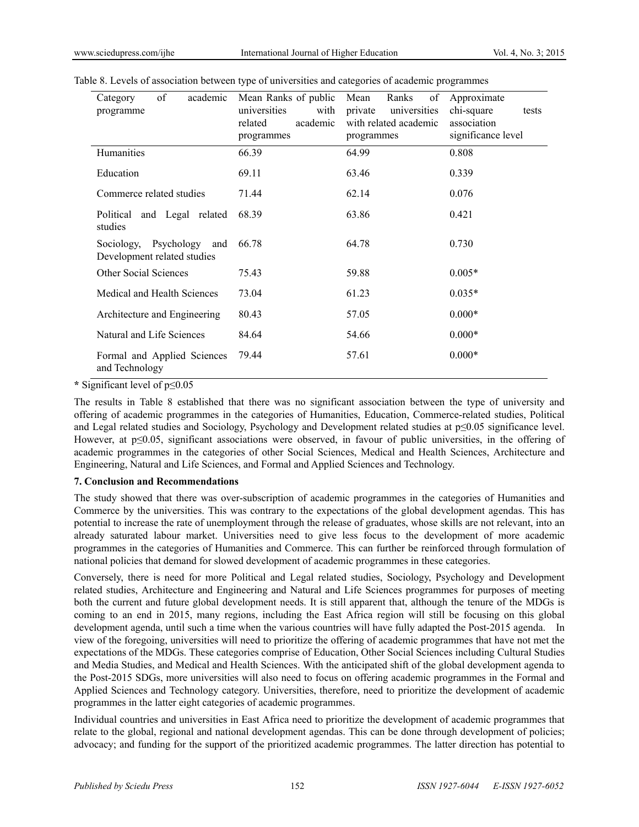| of<br>academic<br>Category<br>programme                  | Mean Ranks of public<br>universities<br>with<br>academic<br>related<br>programmes | Mean<br>Ranks<br>of<br>private<br>universities<br>with related academic<br>programmes | Approximate<br>chi-square<br>tests<br>association<br>significance level |
|----------------------------------------------------------|-----------------------------------------------------------------------------------|---------------------------------------------------------------------------------------|-------------------------------------------------------------------------|
| Humanities                                               | 66.39                                                                             | 64.99                                                                                 | 0.808                                                                   |
| Education                                                | 69.11                                                                             | 63.46                                                                                 | 0.339                                                                   |
| Commerce related studies                                 | 71.44                                                                             | 62.14                                                                                 | 0.076                                                                   |
| Political and Legal related<br>studies                   | 68.39                                                                             | 63.86                                                                                 | 0.421                                                                   |
| Sociology, Psychology and<br>Development related studies | 66.78                                                                             | 64.78                                                                                 | 0.730                                                                   |
| Other Social Sciences                                    | 75.43                                                                             | 59.88                                                                                 | $0.005*$                                                                |
| Medical and Health Sciences                              | 73.04                                                                             | 61.23                                                                                 | $0.035*$                                                                |
| Architecture and Engineering                             | 80.43                                                                             | 57.05                                                                                 | $0.000*$                                                                |
| Natural and Life Sciences                                | 84.64                                                                             | 54.66                                                                                 | $0.000*$                                                                |
| Formal and Applied Sciences<br>and Technology            | 79.44                                                                             | 57.61                                                                                 | $0.000*$                                                                |

Table 8. Levels of association between type of universities and categories of academic programmes

**\*** Significant level of p≤0.05

The results in Table 8 established that there was no significant association between the type of university and offering of academic programmes in the categories of Humanities, Education, Commerce-related studies, Political and Legal related studies and Sociology, Psychology and Development related studies at p≤0.05 significance level. However, at p≤0.05, significant associations were observed, in favour of public universities, in the offering of academic programmes in the categories of other Social Sciences, Medical and Health Sciences, Architecture and Engineering, Natural and Life Sciences, and Formal and Applied Sciences and Technology.

#### **7. Conclusion and Recommendations**

The study showed that there was over-subscription of academic programmes in the categories of Humanities and Commerce by the universities. This was contrary to the expectations of the global development agendas. This has potential to increase the rate of unemployment through the release of graduates, whose skills are not relevant, into an already saturated labour market. Universities need to give less focus to the development of more academic programmes in the categories of Humanities and Commerce. This can further be reinforced through formulation of national policies that demand for slowed development of academic programmes in these categories.

Conversely, there is need for more Political and Legal related studies, Sociology, Psychology and Development related studies, Architecture and Engineering and Natural and Life Sciences programmes for purposes of meeting both the current and future global development needs. It is still apparent that, although the tenure of the MDGs is coming to an end in 2015, many regions, including the East Africa region will still be focusing on this global development agenda, until such a time when the various countries will have fully adapted the Post-2015 agenda. In view of the foregoing, universities will need to prioritize the offering of academic programmes that have not met the expectations of the MDGs. These categories comprise of Education, Other Social Sciences including Cultural Studies and Media Studies, and Medical and Health Sciences. With the anticipated shift of the global development agenda to the Post-2015 SDGs, more universities will also need to focus on offering academic programmes in the Formal and Applied Sciences and Technology category. Universities, therefore, need to prioritize the development of academic programmes in the latter eight categories of academic programmes.

Individual countries and universities in East Africa need to prioritize the development of academic programmes that relate to the global, regional and national development agendas. This can be done through development of policies; advocacy; and funding for the support of the prioritized academic programmes. The latter direction has potential to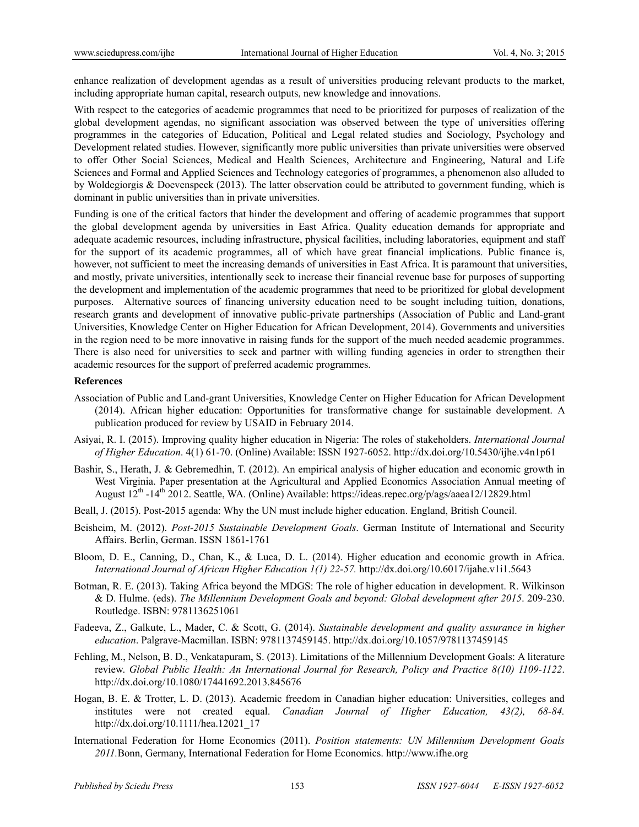enhance realization of development agendas as a result of universities producing relevant products to the market, including appropriate human capital, research outputs, new knowledge and innovations.

With respect to the categories of academic programmes that need to be prioritized for purposes of realization of the global development agendas, no significant association was observed between the type of universities offering programmes in the categories of Education, Political and Legal related studies and Sociology, Psychology and Development related studies. However, significantly more public universities than private universities were observed to offer Other Social Sciences, Medical and Health Sciences, Architecture and Engineering, Natural and Life Sciences and Formal and Applied Sciences and Technology categories of programmes, a phenomenon also alluded to by Woldegiorgis & Doevenspeck (2013). The latter observation could be attributed to government funding, which is dominant in public universities than in private universities.

Funding is one of the critical factors that hinder the development and offering of academic programmes that support the global development agenda by universities in East Africa. Quality education demands for appropriate and adequate academic resources, including infrastructure, physical facilities, including laboratories, equipment and staff for the support of its academic programmes, all of which have great financial implications. Public finance is, however, not sufficient to meet the increasing demands of universities in East Africa. It is paramount that universities, and mostly, private universities, intentionally seek to increase their financial revenue base for purposes of supporting the development and implementation of the academic programmes that need to be prioritized for global development purposes. Alternative sources of financing university education need to be sought including tuition, donations, research grants and development of innovative public-private partnerships (Association of Public and Land-grant Universities, Knowledge Center on Higher Education for African Development, 2014). Governments and universities in the region need to be more innovative in raising funds for the support of the much needed academic programmes. There is also need for universities to seek and partner with willing funding agencies in order to strengthen their academic resources for the support of preferred academic programmes.

#### **References**

- Association of Public and Land-grant Universities, Knowledge Center on Higher Education for African Development (2014). African higher education: Opportunities for transformative change for sustainable development. A publication produced for review by USAID in February 2014.
- Asiyai, R. I. (2015). Improving quality higher education in Nigeria: The roles of stakeholders. *International Journal of Higher Education*. 4(1) 61-70. (Online) Available: ISSN 1927-6052. http://dx.doi.org/10.5430/ijhe.v4n1p61
- Bashir, S., Herath, J. & Gebremedhin, T. (2012). An empirical analysis of higher education and economic growth in West Virginia. Paper presentation at the Agricultural and Applied Economics Association Annual meeting of August 12th -14th 2012. Seattle, WA. (Online) Available: https://ideas.repec.org/p/ags/aaea12/12829.html
- Beall, J. (2015). Post-2015 agenda: Why the UN must include higher education. England, British Council.
- Beisheim, M. (2012). *Post-2015 Sustainable Development Goals*. German Institute of International and Security Affairs. Berlin, German. ISSN 1861-1761
- Bloom, D. E., Canning, D., Chan, K., & Luca, D. L. (2014). Higher education and economic growth in Africa. *International Journal of African Higher Education 1(1) 22-57.* http://dx.doi.org/10.6017/ijahe.v1i1.5643
- Botman, R. E. (2013). Taking Africa beyond the MDGS: The role of higher education in development. R. Wilkinson & D. Hulme. (eds). *The Millennium Development Goals and beyond: Global development after 2015*. 209-230. Routledge. ISBN: 9781136251061
- Fadeeva, Z., Galkute, L., Mader, C. & Scott, G. (2014). *Sustainable development and quality assurance in higher education*. Palgrave-Macmillan. ISBN: 9781137459145. http://dx.doi.org/10.1057/9781137459145
- Fehling, M., Nelson, B. D., Venkatapuram, S. (2013). Limitations of the Millennium Development Goals: A literature review. *Global Public Health: An International Journal for Research, Policy and Practice 8(10) 1109-1122*. http://dx.doi.org/10.1080/17441692.2013.845676
- Hogan, B. E. & Trotter, L. D. (2013). Academic freedom in Canadian higher education: Universities, colleges and institutes were not created equal. *Canadian Journal of Higher Education, 43(2), 68-84.* http://dx.doi.org/10.1111/hea.12021\_17
- International Federation for Home Economics (2011). *Position statements: UN Millennium Development Goals 2011.*Bonn, Germany, International Federation for Home Economics. http://www.ifhe.org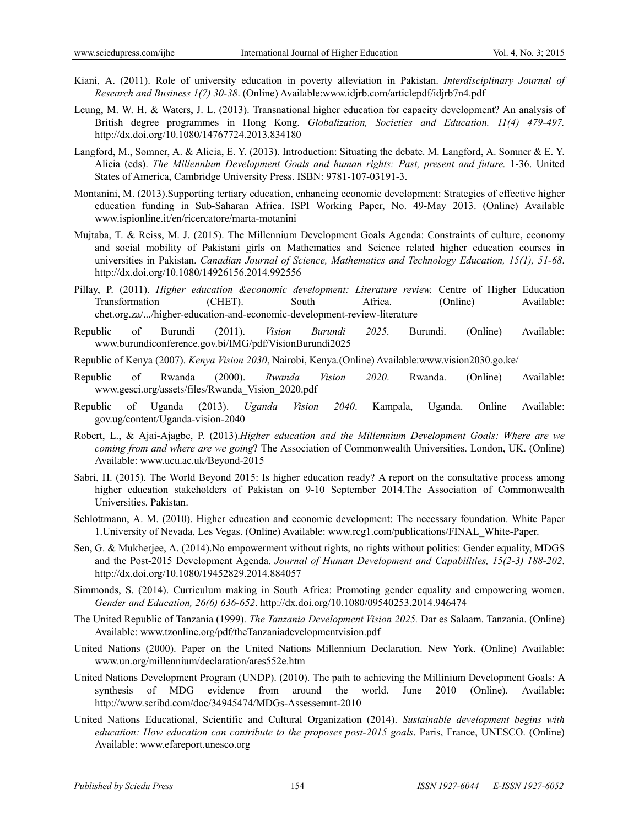- Kiani, A. (2011). Role of university education in poverty alleviation in Pakistan. *Interdisciplinary Journal of Research and Business 1(7) 30-38*. (Online) Available:www.idjrb.com/articlepdf/idjrb7n4.pdf
- Leung, M. W. H. & Waters, J. L. (2013). Transnational higher education for capacity development? An analysis of British degree programmes in Hong Kong. *Globalization, Societies and Education. 11(4) 479-497.* http://dx.doi.org/10.1080/14767724.2013.834180
- Langford, M., Somner, A. & Alicia, E. Y. (2013). Introduction: Situating the debate. M. Langford, A. Somner & E. Y. Alicia (eds). *The Millennium Development Goals and human rights: Past, present and future.* 1-36. United States of America, Cambridge University Press. ISBN: 9781-107-03191-3.
- Montanini, M. (2013).Supporting tertiary education, enhancing economic development: Strategies of effective higher education funding in Sub-Saharan Africa. ISPI Working Paper, No. 49-May 2013. (Online) Available www.ispionline.it/en/ricercatore/marta-motanini
- Mujtaba, T. & Reiss, M. J. (2015). The Millennium Development Goals Agenda: Constraints of culture, economy and social mobility of Pakistani girls on Mathematics and Science related higher education courses in universities in Pakistan. *Canadian Journal of Science, Mathematics and Technology Education, 15(1), 51-68*. http://dx.doi.org/10.1080/14926156.2014.992556
- Pillay, P. (2011). *Higher education &economic development: Literature review.* Centre of Higher Education Transformation (CHET). South Africa. (Online) Available: chet.org.za/.../higher-education-and-economic-development-review-literature
- Republic of Burundi (2011). *Vision Burundi 2025*. Burundi. (Online) Available: www.burundiconference.gov.bi/IMG/pdf/VisionBurundi2025
- Republic of Kenya (2007). *Kenya Vision 2030*, Nairobi, Kenya.(Online) Available:www.vision2030.go.ke/
- Republic of Rwanda (2000). *Rwanda Vision 2020*. Rwanda. (Online) Available: www.gesci.org/assets/files/Rwanda\_Vision\_2020.pdf
- Republic of Uganda (2013). *Uganda Vision 2040*. Kampala, Uganda. Online Available: gov.ug/content/Uganda-vision-2040
- Robert, L., & Ajai-Ajagbe, P. (2013).*Higher education and the Millennium Development Goals: Where are we coming from and where are we going*? The Association of Commonwealth Universities. London, UK. (Online) Available: www.ucu.ac.uk/Beyond-2015
- Sabri, H. (2015). The World Beyond 2015: Is higher education ready? A report on the consultative process among higher education stakeholders of Pakistan on 9-10 September 2014. The Association of Commonwealth Universities. Pakistan.
- Schlottmann, A. M. (2010). Higher education and economic development: The necessary foundation. White Paper 1.University of Nevada, Les Vegas. (Online) Available: www.rcg1.com/publications/FINAL\_White-Paper.
- Sen, G. & Mukherjee, A. (2014).No empowerment without rights, no rights without politics: Gender equality, MDGS and the Post-2015 Development Agenda. *Journal of Human Development and Capabilities, 15(2-3) 188-202*. http://dx.doi.org/10.1080/19452829.2014.884057
- Simmonds, S. (2014). Curriculum making in South Africa: Promoting gender equality and empowering women. *Gender and Education, 26(6) 636-652*. http://dx.doi.org/10.1080/09540253.2014.946474
- The United Republic of Tanzania (1999). *The Tanzania Development Vision 2025.* Dar es Salaam. Tanzania. (Online) Available: www.tzonline.org/pdf/theTanzaniadevelopmentvision.pdf
- United Nations (2000). Paper on the United Nations Millennium Declaration. New York. (Online) Available: www.un.org/millennium/declaration/ares552e.htm
- United Nations Development Program (UNDP). (2010). The path to achieving the Millinium Development Goals: A synthesis of MDG evidence from around the world. June 2010 (Online). Available: http://www.scribd.com/doc/34945474/MDGs-Assessemnt-2010
- United Nations Educational, Scientific and Cultural Organization (2014). *Sustainable development begins with education: How education can contribute to the proposes post-2015 goals*. Paris, France, UNESCO. (Online) Available: www.efareport.unesco.org